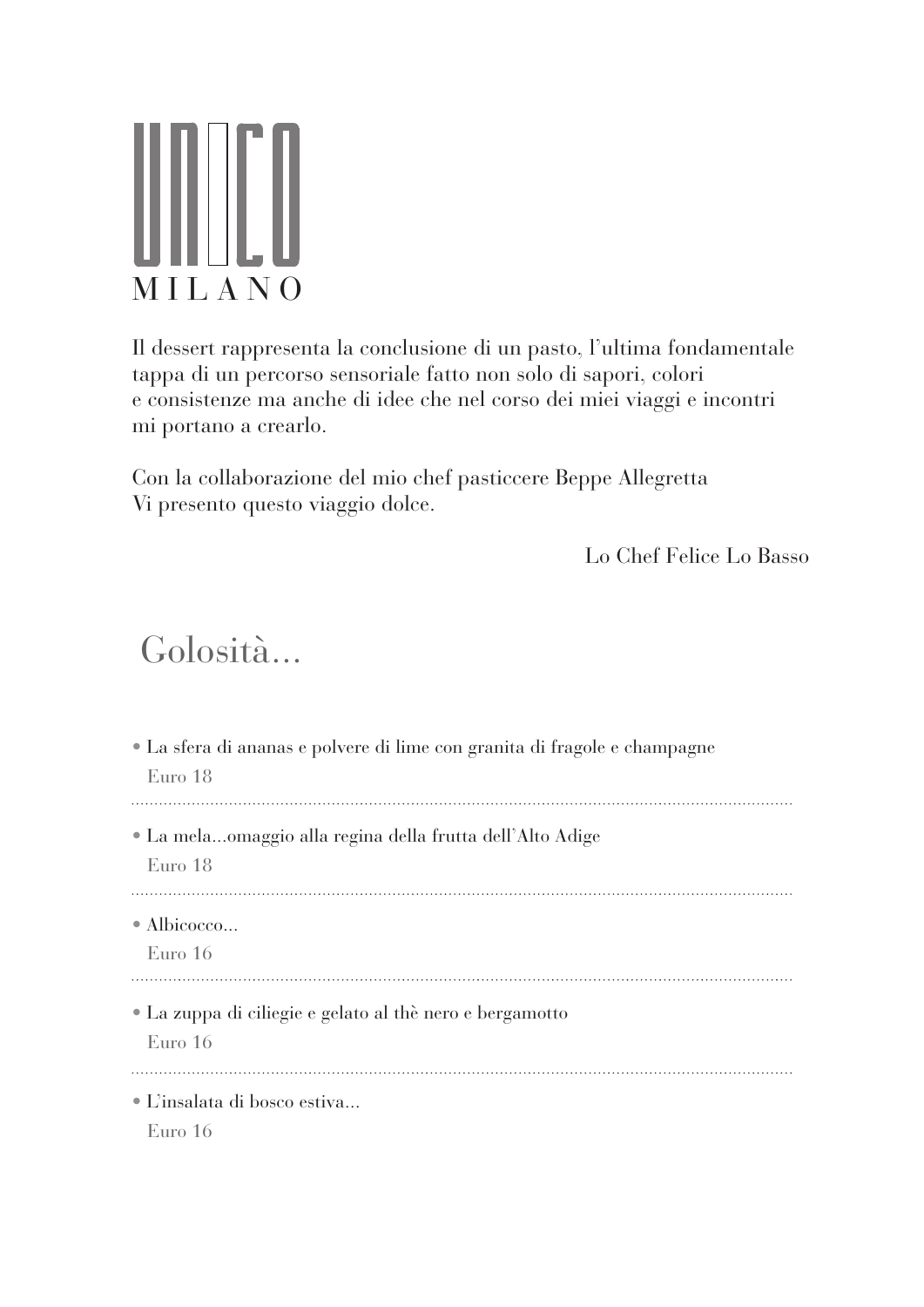## ∭∐ MILANO

Il dessert rappresenta la conclusione di un pasto, l'ultima fondamentale tappa di un percorso sensoriale fatto non solo di sapori, colori e consistenze ma anche di idee che nel corso dei miei viaggi e incontri mi portano a crearlo.

Con la collaborazione del mio chef pasticcere Beppe Allegretta Vi presento questo viaggio dolce.

Lo Chef Felice Lo Basso

## Golosità...

| • La sfera di ananas e polvere di lime con granita di fragole e champagne<br>Euro 18 |
|--------------------------------------------------------------------------------------|
| • La melaomaggio alla regina della frutta dell'Alto Adige<br>Euro 18                 |
| $\bullet$ Albicocco<br>Euro 16                                                       |
| • La zuppa di ciliegie e gelato al thè nero e bergamotto<br>Euro 16                  |
| • L'insalata di bosco estiva<br>Euro 16                                              |